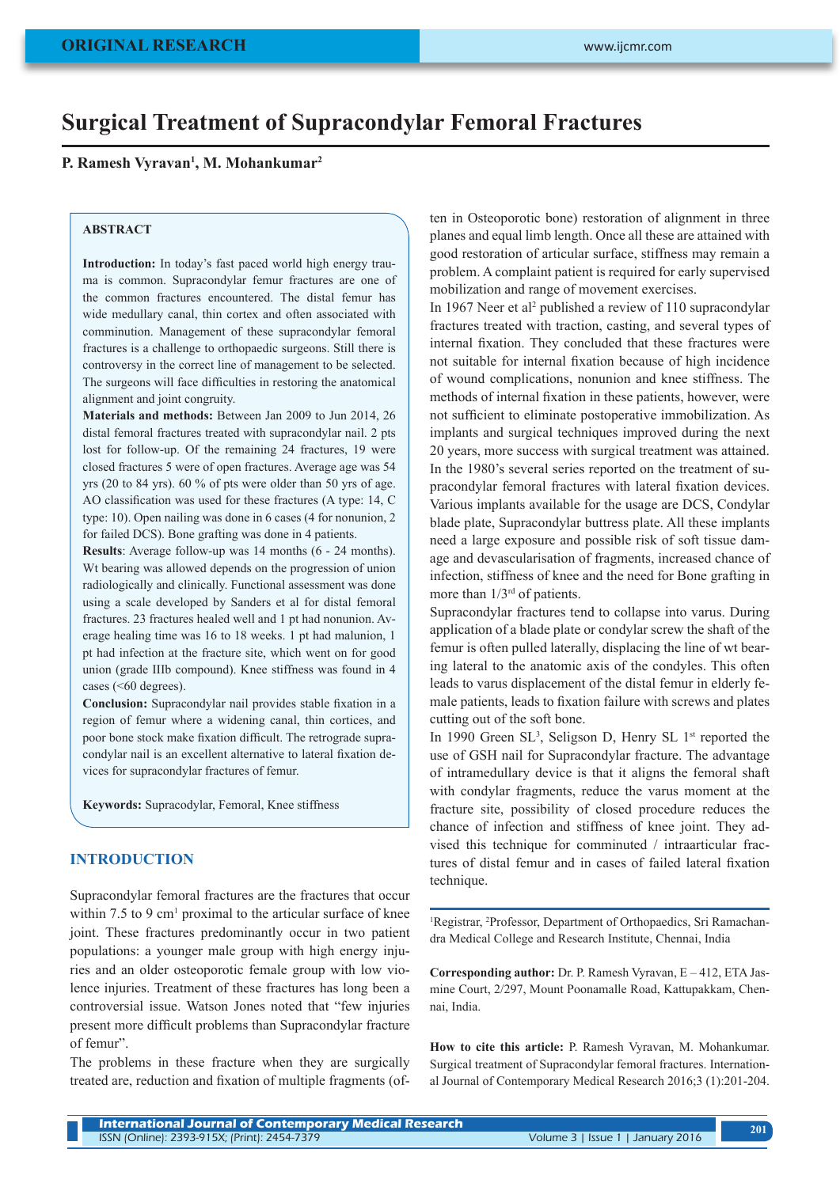# **Surgical Treatment of Supracondylar Femoral Fractures**

**P. Ramesh Vyravan1 , M. Mohankumar2**

#### **ABSTRACT**

**Introduction:** In today's fast paced world high energy trauma is common. Supracondylar femur fractures are one of the common fractures encountered. The distal femur has wide medullary canal, thin cortex and often associated with comminution. Management of these supracondylar femoral fractures is a challenge to orthopaedic surgeons. Still there is controversy in the correct line of management to be selected. The surgeons will face difficulties in restoring the anatomical alignment and joint congruity.

**Materials and methods:** Between Jan 2009 to Jun 2014, 26 distal femoral fractures treated with supracondylar nail. 2 pts lost for follow-up. Of the remaining 24 fractures, 19 were closed fractures 5 were of open fractures. Average age was 54 yrs (20 to 84 yrs). 60 % of pts were older than 50 yrs of age. AO classification was used for these fractures (A type: 14, C type: 10). Open nailing was done in 6 cases (4 for nonunion, 2 for failed DCS). Bone grafting was done in 4 patients.

**Results**: Average follow-up was 14 months (6 - 24 months). Wt bearing was allowed depends on the progression of union radiologically and clinically. Functional assessment was done using a scale developed by Sanders et al for distal femoral fractures. 23 fractures healed well and 1 pt had nonunion. Average healing time was 16 to 18 weeks. 1 pt had malunion, 1 pt had infection at the fracture site, which went on for good union (grade IIIb compound). Knee stiffness was found in 4 cases (<60 degrees).

**Conclusion:** Supracondylar nail provides stable fixation in a region of femur where a widening canal, thin cortices, and poor bone stock make fixation difficult. The retrograde supracondylar nail is an excellent alternative to lateral fixation devices for supracondylar fractures of femur.

**Keywords:** Supracodylar, Femoral, Knee stiffness

#### **INTRODUCTION**

Supracondylar femoral fractures are the fractures that occur within  $7.5$  to 9 cm<sup>1</sup> proximal to the articular surface of knee joint. These fractures predominantly occur in two patient populations: a younger male group with high energy injuries and an older osteoporotic female group with low violence injuries. Treatment of these fractures has long been a controversial issue. Watson Jones noted that "few injuries present more difficult problems than Supracondylar fracture of femur".

The problems in these fracture when they are surgically treated are, reduction and fixation of multiple fragments (often in Osteoporotic bone) restoration of alignment in three planes and equal limb length. Once all these are attained with good restoration of articular surface, stiffness may remain a problem. A complaint patient is required for early supervised mobilization and range of movement exercises.

In 1967 Neer et al<sup>2</sup> published a review of 110 supracondylar fractures treated with traction, casting, and several types of internal fixation. They concluded that these fractures were not suitable for internal fixation because of high incidence of wound complications, nonunion and knee stiffness. The methods of internal fixation in these patients, however, were not sufficient to eliminate postoperative immobilization. As implants and surgical techniques improved during the next 20 years, more success with surgical treatment was attained. In the 1980's several series reported on the treatment of supracondylar femoral fractures with lateral fixation devices. Various implants available for the usage are DCS, Condylar blade plate, Supracondylar buttress plate. All these implants need a large exposure and possible risk of soft tissue damage and devascularisation of fragments, increased chance of infection, stiffness of knee and the need for Bone grafting in more than  $1/3<sup>rd</sup>$  of patients.

Supracondylar fractures tend to collapse into varus. During application of a blade plate or condylar screw the shaft of the femur is often pulled laterally, displacing the line of wt bearing lateral to the anatomic axis of the condyles. This often leads to varus displacement of the distal femur in elderly female patients, leads to fixation failure with screws and plates cutting out of the soft bone.

In 1990 Green SL<sup>3</sup>, Seligson D, Henry SL 1<sup>st</sup> reported the use of GSH nail for Supracondylar fracture. The advantage of intramedullary device is that it aligns the femoral shaft with condylar fragments, reduce the varus moment at the fracture site, possibility of closed procedure reduces the chance of infection and stiffness of knee joint. They advised this technique for comminuted / intraarticular fractures of distal femur and in cases of failed lateral fixation technique.

<sup>1</sup>Registrar, <sup>2</sup>Professor, Department of Orthopaedics, Sri Ramachandra Medical College and Research Institute, Chennai, India

**Corresponding author:** Dr. P. Ramesh Vyravan, E – 412, ETA Jasmine Court, 2/297, Mount Poonamalle Road, Kattupakkam, Chennai, India.

**How to cite this article:** P. Ramesh Vyravan, M. Mohankumar. Surgical treatment of Supracondylar femoral fractures. International Journal of Contemporary Medical Research 2016;3 (1):201-204.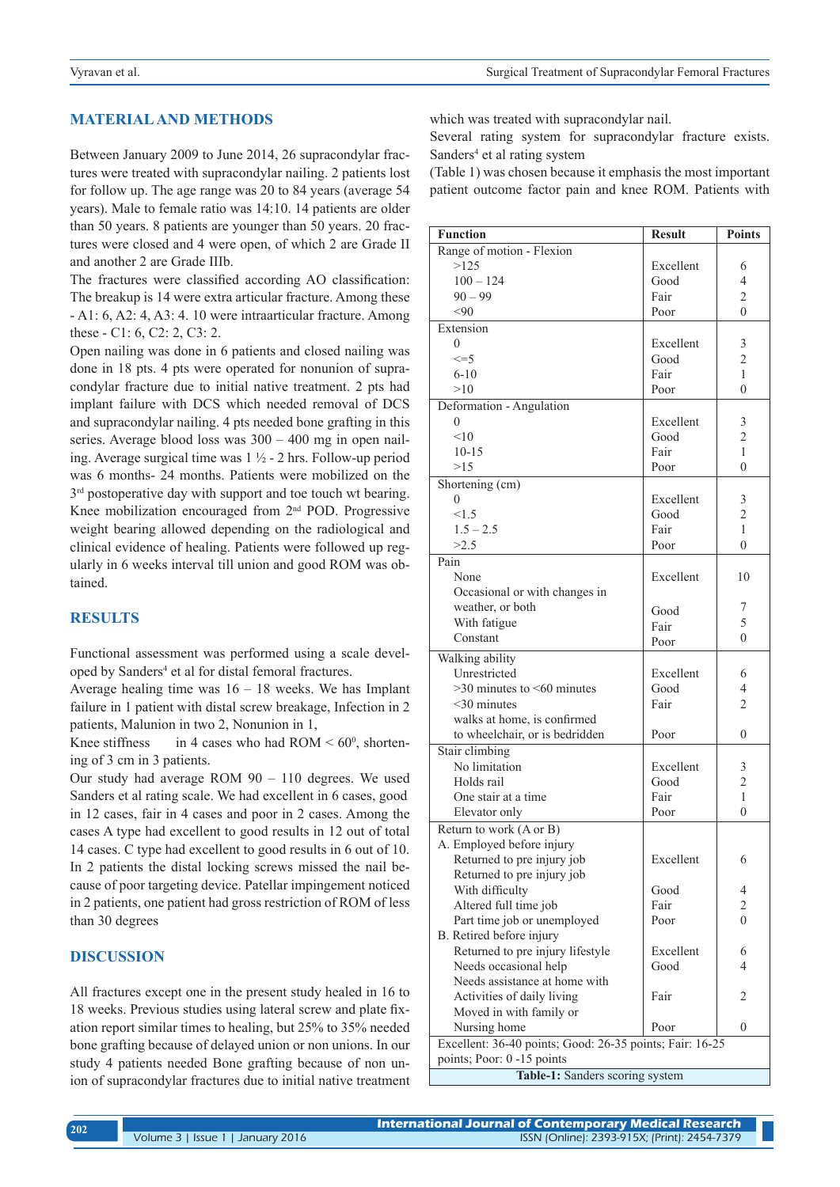## **MATERIAL AND METHODS**

Between January 2009 to June 2014, 26 supracondylar fractures were treated with supracondylar nailing. 2 patients lost for follow up. The age range was 20 to 84 years (average 54 years). Male to female ratio was 14:10. 14 patients are older than 50 years. 8 patients are younger than 50 years. 20 fractures were closed and 4 were open, of which 2 are Grade II and another 2 are Grade IIIb.

The fractures were classified according AO classification: The breakup is 14 were extra articular fracture. Among these - A1: 6, A2: 4, A3: 4. 10 were intraarticular fracture. Among these - C1: 6, C2: 2, C3: 2.

Open nailing was done in 6 patients and closed nailing was done in 18 pts. 4 pts were operated for nonunion of supracondylar fracture due to initial native treatment. 2 pts had implant failure with DCS which needed removal of DCS and supracondylar nailing. 4 pts needed bone grafting in this series. Average blood loss was 300 – 400 mg in open nailing. Average surgical time was 1 ½ - 2 hrs. Follow-up period was 6 months- 24 months. Patients were mobilized on the  $3<sup>rd</sup>$  postoperative day with support and toe touch wt bearing. Knee mobilization encouraged from 2nd POD. Progressive weight bearing allowed depending on the radiological and clinical evidence of healing. Patients were followed up regularly in 6 weeks interval till union and good ROM was obtained.

### **RESULTS**

Functional assessment was performed using a scale developed by Sanders<sup>4</sup> et al for distal femoral fractures.

Average healing time was  $16 - 18$  weeks. We has Implant failure in 1 patient with distal screw breakage, Infection in 2 patients, Malunion in two 2, Nonunion in 1,

Knee stiffness in 4 cases who had  $ROM < 60^\circ$ , shortening of 3 cm in 3 patients.

Our study had average ROM 90 – 110 degrees. We used Sanders et al rating scale. We had excellent in 6 cases, good in 12 cases, fair in 4 cases and poor in 2 cases. Among the cases A type had excellent to good results in 12 out of total 14 cases. C type had excellent to good results in 6 out of 10. In 2 patients the distal locking screws missed the nail because of poor targeting device. Patellar impingement noticed in 2 patients, one patient had gross restriction of ROM of less than 30 degrees

## **DISCUSSION**

All fractures except one in the present study healed in 16 to 18 weeks. Previous studies using lateral screw and plate fixation report similar times to healing, but 25% to 35% needed bone grafting because of delayed union or non unions. In our study 4 patients needed Bone grafting because of non union of supracondylar fractures due to initial native treatment which was treated with supracondylar nail.

Several rating system for supracondylar fracture exists. Sanders<sup>4</sup> et al rating system

(Table 1) was chosen because it emphasis the most important patient outcome factor pain and knee ROM. Patients with

| <b>Function</b>                                                                        | <b>Result</b> | <b>Points</b>  |
|----------------------------------------------------------------------------------------|---------------|----------------|
| Range of motion - Flexion                                                              |               |                |
| >125                                                                                   | Excellent     | 6              |
| $100 - 124$                                                                            | Good          | 4              |
| $90 - 99$                                                                              | Fair          | $\overline{c}$ |
| $90$                                                                                   | Poor          | $\Omega$       |
| Extension                                                                              |               |                |
| $\Omega$                                                                               | Excellent     | 3              |
| $\leq$ =5                                                                              | Good          | $\overline{2}$ |
| $6 - 10$                                                                               | Fair          | 1              |
| >10                                                                                    | Poor          | $\theta$       |
| Deformation - Angulation                                                               |               |                |
| $\theta$                                                                               | Excellent     | 3              |
| < 10                                                                                   | Good          | $\overline{2}$ |
| $10 - 15$                                                                              | Fair          | 1              |
| >15                                                                                    | Poor          | $\theta$       |
| Shortening (cm)                                                                        |               |                |
| $\theta$                                                                               | Excellent     | 3              |
| <1.5                                                                                   | Good          | $\overline{2}$ |
| $1.5 - 2.5$                                                                            | Fair          | 1              |
| >2.5                                                                                   | Poor          | $\theta$       |
| Pain                                                                                   |               |                |
| None                                                                                   | Excellent     | 10             |
| Occasional or with changes in                                                          |               |                |
| weather, or both                                                                       | Good          | 7              |
| With fatigue                                                                           | Fair          | 5              |
| Constant                                                                               | Poor          | $\Omega$       |
| Walking ability                                                                        |               |                |
| Unrestricted                                                                           | Excellent     | 6              |
| $>30$ minutes to $< 60$ minutes                                                        | Good          | 4              |
| $<$ 30 minutes                                                                         | Fair          | $\overline{c}$ |
| walks at home, is confirmed                                                            |               |                |
| to wheelchair, or is bedridden                                                         | Poor          | $\theta$       |
| Stair climbing                                                                         |               |                |
| No limitation                                                                          | Excellent     | 3              |
| Holds rail                                                                             | Good          | $\overline{c}$ |
| One stair at a time                                                                    | Fair          | $\mathbf{1}$   |
| Elevator only                                                                          | Poor          | $\theta$       |
| Return to work (A or B)                                                                |               |                |
| A. Employed before injury                                                              |               |                |
| Returned to pre injury job                                                             | Excellent     | 6              |
| Returned to pre injury job                                                             |               |                |
| With difficulty                                                                        | Good          | 4              |
| Altered full time job                                                                  | Fair          | $\overline{c}$ |
| Part time job or unemployed                                                            | Poor          | $\theta$       |
| B. Retired before injury                                                               |               |                |
| Returned to pre injury lifestyle                                                       | Excellent     | 6              |
| Needs occasional help                                                                  | Good          | 4              |
| Needs assistance at home with                                                          |               |                |
| Activities of daily living                                                             | Fair          | 2              |
| Moved in with family or                                                                | Poor          | $\theta$       |
| Nursing home                                                                           |               |                |
| Excellent: 36-40 points; Good: 26-35 points; Fair: 16-25<br>points; Poor: 0 -15 points |               |                |
|                                                                                        |               |                |
| Table-1: Sanders scoring system                                                        |               |                |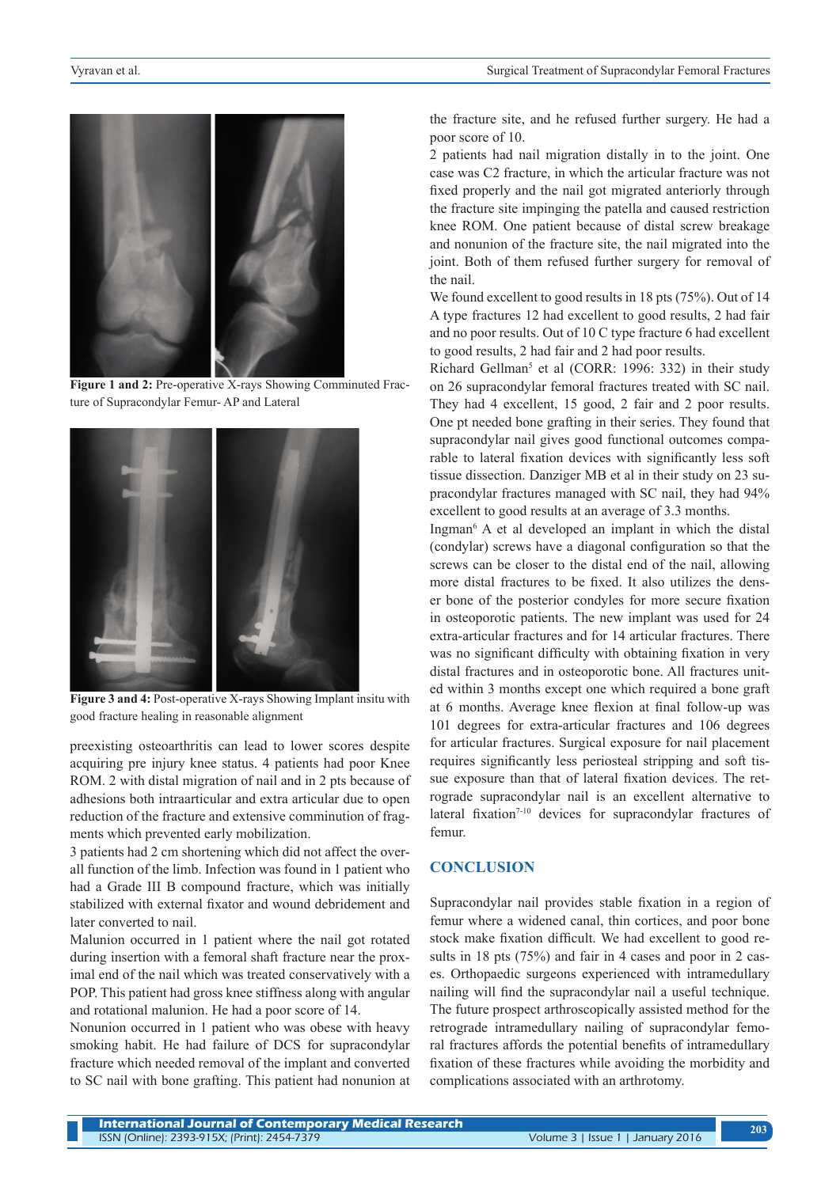

**Figure 1 and 2:** Pre-operative X-rays Showing Comminuted Fracture of Supracondylar Femur- AP and Lateral



Figure 3 and 4: Post-operative X-rays Showing Implant insitu with good fracture healing in reasonable alignment

preexisting osteoarthritis can lead to lower scores despite acquiring pre injury knee status. 4 patients had poor Knee ROM. 2 with distal migration of nail and in 2 pts because of adhesions both intraarticular and extra articular due to open reduction of the fracture and extensive comminution of fragments which prevented early mobilization.

3 patients had 2 cm shortening which did not affect the overall function of the limb. Infection was found in 1 patient who had a Grade III B compound fracture, which was initially stabilized with external fixator and wound debridement and later converted to nail.

Malunion occurred in 1 patient where the nail got rotated during insertion with a femoral shaft fracture near the proximal end of the nail which was treated conservatively with a POP. This patient had gross knee stiffness along with angular and rotational malunion. He had a poor score of 14.

Nonunion occurred in 1 patient who was obese with heavy smoking habit. He had failure of DCS for supracondylar fracture which needed removal of the implant and converted to SC nail with bone grafting. This patient had nonunion at

the fracture site, and he refused further surgery. He had a poor score of 10.

2 patients had nail migration distally in to the joint. One case was C2 fracture, in which the articular fracture was not fixed properly and the nail got migrated anteriorly through the fracture site impinging the patella and caused restriction knee ROM. One patient because of distal screw breakage and nonunion of the fracture site, the nail migrated into the joint. Both of them refused further surgery for removal of the nail.

We found excellent to good results in 18 pts (75%). Out of 14 A type fractures 12 had excellent to good results, 2 had fair and no poor results. Out of 10 C type fracture 6 had excellent to good results, 2 had fair and 2 had poor results.

Richard Gellman<sup>5</sup> et al (CORR: 1996: 332) in their study on 26 supracondylar femoral fractures treated with SC nail. They had 4 excellent, 15 good, 2 fair and 2 poor results. One pt needed bone grafting in their series. They found that supracondylar nail gives good functional outcomes comparable to lateral fixation devices with significantly less soft tissue dissection. Danziger MB et al in their study on 23 supracondylar fractures managed with SC nail, they had 94% excellent to good results at an average of 3.3 months.

Ingman6 A et al developed an implant in which the distal (condylar) screws have a diagonal configuration so that the screws can be closer to the distal end of the nail, allowing more distal fractures to be fixed. It also utilizes the denser bone of the posterior condyles for more secure fixation in osteoporotic patients. The new implant was used for 24 extra-articular fractures and for 14 articular fractures. There was no significant difficulty with obtaining fixation in very distal fractures and in osteoporotic bone. All fractures united within 3 months except one which required a bone graft at 6 months. Average knee flexion at final follow-up was 101 degrees for extra-articular fractures and 106 degrees for articular fractures. Surgical exposure for nail placement requires significantly less periosteal stripping and soft tissue exposure than that of lateral fixation devices. The retrograde supracondylar nail is an excellent alternative to lateral fixation<sup>7-10</sup> devices for supracondylar fractures of femur.

#### **CONCLUSION**

Supracondylar nail provides stable fixation in a region of femur where a widened canal, thin cortices, and poor bone stock make fixation difficult. We had excellent to good results in 18 pts (75%) and fair in 4 cases and poor in 2 cases. Orthopaedic surgeons experienced with intramedullary nailing will find the supracondylar nail a useful technique. The future prospect arthroscopically assisted method for the retrograde intramedullary nailing of supracondylar femoral fractures affords the potential benefits of intramedullary fixation of these fractures while avoiding the morbidity and complications associated with an arthrotomy.